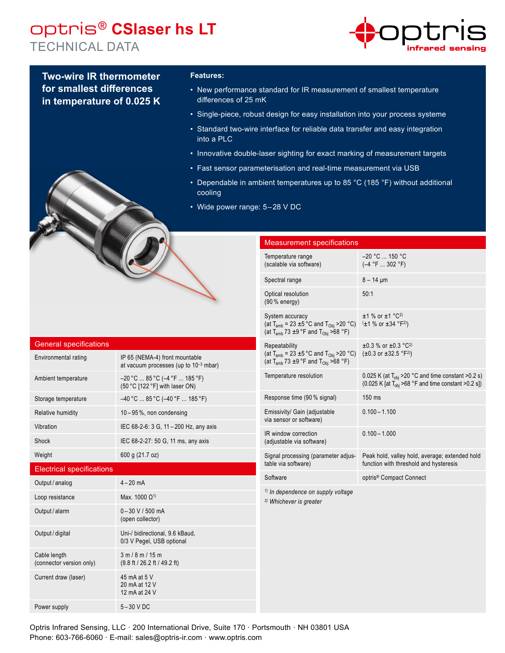# optris® **CSlaser hs LT** TECHNICAL DATA



**Two-wire IR thermometer for smallest differences in temperature of 0.025 K**

## **Features:**

- New performance standard for IR measurement of smallest temperature differences of 25 mK
- Single-piece, robust design for easy installation into your process systeme
- Standard two-wire interface for reliable data transfer and easy integration into a PLC
- Innovative double-laser sighting for exact marking of measurement targets
- Fast sensor parameterisation and real-time measurement via USB
- Dependable in ambient temperatures up to 85 °C (185 °F) without additional cooling
- Wide power range: 5-28 V DC

### Measurement specifications

|  | Temperature range<br>(scalable via software)                                                                                         | -20 °C  150 °C<br>$(-4 °F  302 °F)$                                                                                                                                   |
|--|--------------------------------------------------------------------------------------------------------------------------------------|-----------------------------------------------------------------------------------------------------------------------------------------------------------------------|
|  | Spectral range                                                                                                                       | $8 - 14 \mu m$                                                                                                                                                        |
|  | Optical resolution<br>(90 % energy)                                                                                                  | 50:1                                                                                                                                                                  |
|  | System accuracy<br>(at $T_{amb}$ = 23 ±5 °C and $T_{Obj}$ >20 °C)<br>(at T <sub>amb</sub> 73 $\pm$ 9 °F and T <sub>Obi</sub> >68 °F) | $±1$ % or $±1$ °C <sup>2)</sup><br>$(\pm 1 \%$ or $\pm 34$ °F <sup>2)</sup> )                                                                                         |
|  | Repeatability<br>(at $T_{amb}$ = 23 ±5 °C and $T_{Obj}$ >20 °C)<br>(at T <sub>amb</sub> 73 $\pm$ 9 °F and T <sub>Obj</sub> >68 °F)   | $\pm 0.3$ % or $\pm 0.3$ °C <sup>2)</sup><br>$(\pm 0.3 \text{ or } \pm 32.5 \text{ }^{\circ} \text{F}^{2})$                                                           |
|  | Temperature resolution                                                                                                               | 0.025 K (at $T_{obj}$ >20 °C and time constant >0.2 s)<br>$(0.025 \text{ K} \text{ [at } T_{\text{obj}} > 68 \text{ °F} \text{ and time constant } > 0.2 \text{ s}])$ |
|  | Response time (90 % signal)                                                                                                          | 150 ms                                                                                                                                                                |
|  | Emissivity/ Gain (adjustable<br>via sensor or software)                                                                              | $0.100 - 1.100$                                                                                                                                                       |
|  | IR window correction<br>(adjustable via software)                                                                                    | $0.100 - 1.000$                                                                                                                                                       |
|  | Signal processing (parameter adjus-<br>table via software)                                                                           | Peak hold, valley hold, average; extended hold<br>function with threshold and hysteresis                                                                              |
|  | Software                                                                                                                             | optris <sup>®</sup> Compact Connect                                                                                                                                   |
|  | <sup>1)</sup> In dependence on supply voltage<br><sup>2)</sup> Whichever is greater                                                  |                                                                                                                                                                       |
|  |                                                                                                                                      |                                                                                                                                                                       |

| <b>General specifications</b> |  |
|-------------------------------|--|
|                               |  |

| Environmental rating                     | IP 65 (NEMA-4) front mountable<br>at vacuum processes (up to $10^{-3}$ mbar) |
|------------------------------------------|------------------------------------------------------------------------------|
| Ambient temperature                      | $-20$ °C  85 °C ( $-4$ °F  185 °F)<br>(50 °C [122 °F] with laser ON)         |
| Storage temperature                      | $-40$ °C $\ldots$ 85 °C ( $-40$ °F $\ldots$ 185 °F)                          |
| Relative humidity                        | $10 - 95$ %, non condensing                                                  |
| Vibration                                | IEC 68-2-6: 3 G, 11 - 200 Hz, any axis                                       |
| Shock                                    | IEC 68-2-27: 50 G, 11 ms, any axis                                           |
| Weight                                   | 600 g (21.7 oz)                                                              |
| <b>Electrical specifications</b>         |                                                                              |
| Output / analog                          | $4 - 20$ mA                                                                  |
| Loop resistance                          | Max. 1000 $\Omega^{1}$                                                       |
| Output / alarm                           | $0 - 30$ V / 500 mA<br>(open collector)                                      |
| Output / digital                         | Uni-/ bidirectional, 9.6 kBaud,<br>0/3 V Pegel, USB optional                 |
| Cable length<br>(connector version only) | 3 m / 8 m / 15 m<br>$(9.8 \text{ ft} / 26.2 \text{ ft} / 49.2 \text{ ft})$   |
| Current draw (laser)                     | 45 mA at 5 V<br>20 mA at 12 V<br>12 mA at 24 V                               |
| Power supply                             | $5-30$ V DC                                                                  |

Optris Infrared Sensing, LLC · 200 International Drive, Suite 170 · Portsmouth · NH 03801 USA Phone: 603-766-6060 · E-mail: sales@optris-ir.com · www.optris.com